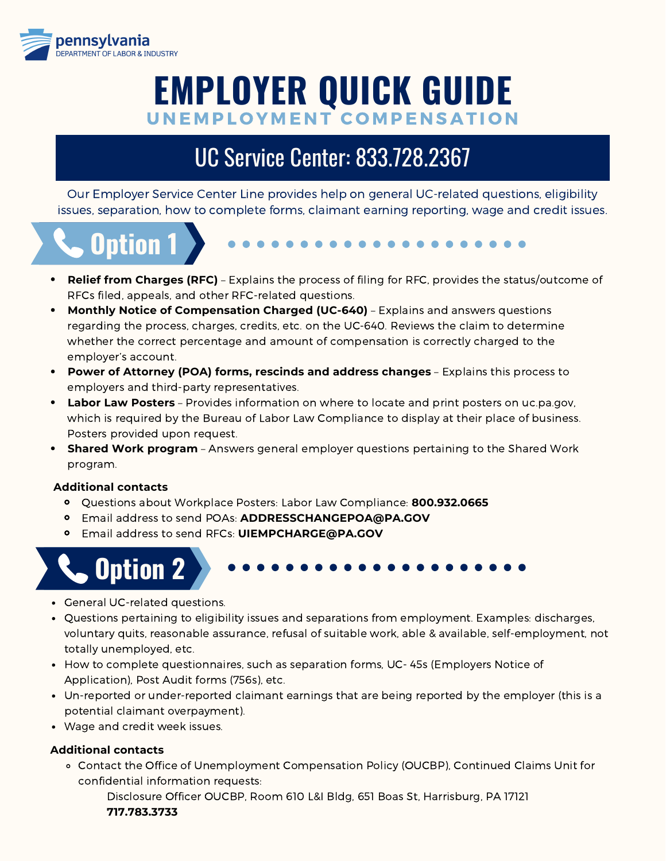

# **EMPLOYER QUICK GUIDE** UNEMPLOYMENT COMPENSATION

## UC Service Center: 833.728.2367

Our Employer Service Center Line provides help on general UC-related questions, eligibility issues, separation, how to complete forms, claimant earning reporting, wage and credit issues.



- **Relief from Charges (RFC)** Explains the process of filing for RFC, provides the status/outcome of
- RFCs filed, appeals, and other RFC-related questions. **Monthly Notice of Compensation Charged (UC-640)** – Explains and answers questions regarding the process, charges, credits, etc. on the UC-640. Reviews the claim to determine whether the correct percentage and amount of compensation is correctly charged to the
- employer's account. **Power of Attorney (POA) forms, rescinds and address changes** – Explains this process to  $\bullet$ employers and third-party representatives.
- **Labor Law Posters** Provides information on where to locate and print posters on uc.pa.gov, which is required by the Bureau of Labor Law Compliance to display at their place of business. Posters provided upon request.
- **Shared Work program** Answers general employer questions pertaining to the Shared Work program.

### **Additional contacts**

- Questions about Workplace Posters: Labor Law Compliance: **800.932.0665**
- Email address to send POAs: **ADDRESSCHANGEPOA@PA.GOV**
- Email address to send RFCs: **UIEMPCHARGE@PA.GOV**



- General UC-related questions.
- Questions pertaining to eligibility issues and separations from employment. Examples: discharges, voluntary quits, reasonable assurance, refusal of suitable work, able & available, self-employment, not totally unemployed, etc.
- How to complete questionnaires, such as separation forms, UC-45s (Employers Notice of Application), Post Audit forms (756s), etc.
- Un-reported or under-reported claimant earnings that are being reported by the employer (this is a potential claimant overpayment).
- Wage and credit week issues.

### **Additional contacts**

Contact the Office of Unemployment Compensation Policy (OUCBP), Continued Claims Unit for confidential information requests:

Disclosure Officer OUCBP, Room 610 L&I Bldg, 651 Boas St, Harrisburg, PA 17121 **717.783.3733**